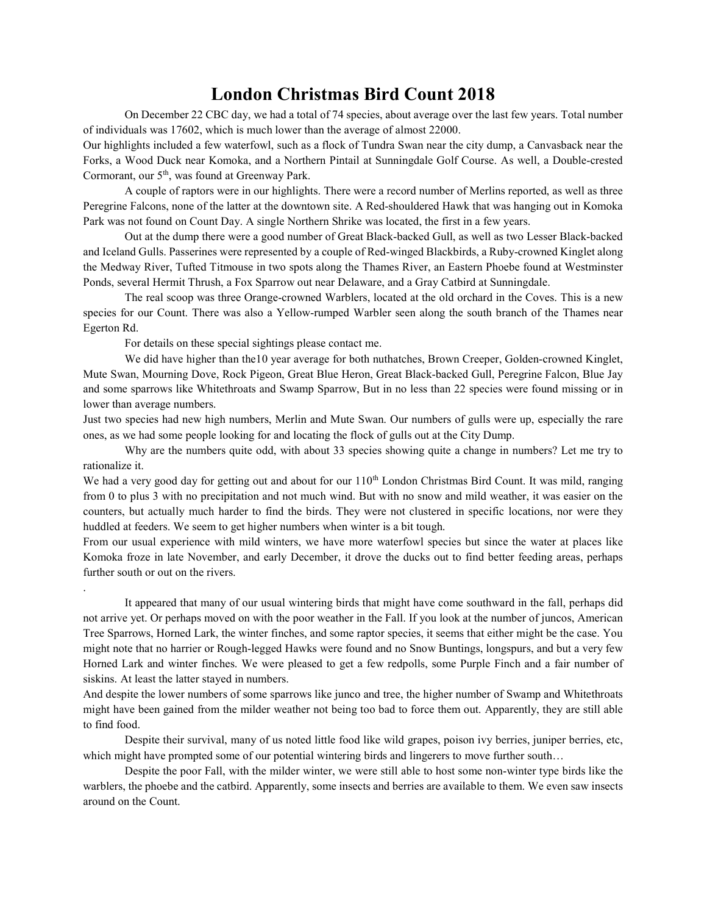## London Christmas Bird Count 2018

On December 22 CBC day, we had a total of 74 species, about average over the last few years. Total number of individuals was 17602, which is much lower than the average of almost 22000.

Our highlights included a few waterfowl, such as a flock of Tundra Swan near the city dump, a Canvasback near the Forks, a Wood Duck near Komoka, and a Northern Pintail at Sunningdale Golf Course. As well, a Double-crested Cormorant, our 5th, was found at Greenway Park.

A couple of raptors were in our highlights. There were a record number of Merlins reported, as well as three Peregrine Falcons, none of the latter at the downtown site. A Red-shouldered Hawk that was hanging out in Komoka Park was not found on Count Day. A single Northern Shrike was located, the first in a few years.

Out at the dump there were a good number of Great Black-backed Gull, as well as two Lesser Black-backed and Iceland Gulls. Passerines were represented by a couple of Red-winged Blackbirds, a Ruby-crowned Kinglet along the Medway River, Tufted Titmouse in two spots along the Thames River, an Eastern Phoebe found at Westminster Ponds, several Hermit Thrush, a Fox Sparrow out near Delaware, and a Gray Catbird at Sunningdale.

The real scoop was three Orange-crowned Warblers, located at the old orchard in the Coves. This is a new species for our Count. There was also a Yellow-rumped Warbler seen along the south branch of the Thames near Egerton Rd.

For details on these special sightings please contact me.

.

We did have higher than the10 year average for both nuthatches, Brown Creeper, Golden-crowned Kinglet, Mute Swan, Mourning Dove, Rock Pigeon, Great Blue Heron, Great Black-backed Gull, Peregrine Falcon, Blue Jay and some sparrows like Whitethroats and Swamp Sparrow, But in no less than 22 species were found missing or in lower than average numbers.

Just two species had new high numbers, Merlin and Mute Swan. Our numbers of gulls were up, especially the rare ones, as we had some people looking for and locating the flock of gulls out at the City Dump.

Why are the numbers quite odd, with about 33 species showing quite a change in numbers? Let me try to rationalize it.

We had a very good day for getting out and about for our  $110<sup>th</sup>$  London Christmas Bird Count. It was mild, ranging from 0 to plus 3 with no precipitation and not much wind. But with no snow and mild weather, it was easier on the counters, but actually much harder to find the birds. They were not clustered in specific locations, nor were they huddled at feeders. We seem to get higher numbers when winter is a bit tough.

From our usual experience with mild winters, we have more waterfowl species but since the water at places like Komoka froze in late November, and early December, it drove the ducks out to find better feeding areas, perhaps further south or out on the rivers.

It appeared that many of our usual wintering birds that might have come southward in the fall, perhaps did not arrive yet. Or perhaps moved on with the poor weather in the Fall. If you look at the number of juncos, American Tree Sparrows, Horned Lark, the winter finches, and some raptor species, it seems that either might be the case. You might note that no harrier or Rough-legged Hawks were found and no Snow Buntings, longspurs, and but a very few Horned Lark and winter finches. We were pleased to get a few redpolls, some Purple Finch and a fair number of siskins. At least the latter stayed in numbers.

And despite the lower numbers of some sparrows like junco and tree, the higher number of Swamp and Whitethroats might have been gained from the milder weather not being too bad to force them out. Apparently, they are still able to find food.

Despite their survival, many of us noted little food like wild grapes, poison ivy berries, juniper berries, etc, which might have prompted some of our potential wintering birds and lingerers to move further south...

 Despite the poor Fall, with the milder winter, we were still able to host some non-winter type birds like the warblers, the phoebe and the catbird. Apparently, some insects and berries are available to them. We even saw insects around on the Count.